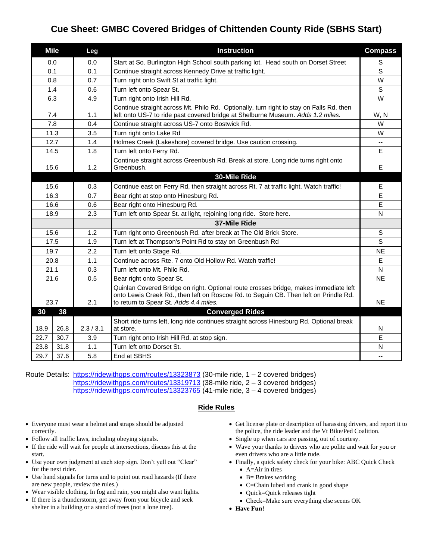## **Cue Sheet: GMBC Covered Bridges of Chittenden County Ride (SBHS Start)**

| <b>Mile</b> |      | Leg       | <b>Instruction</b>                                                                                                                                                                                                     | <b>Compass</b>           |
|-------------|------|-----------|------------------------------------------------------------------------------------------------------------------------------------------------------------------------------------------------------------------------|--------------------------|
| 0.0         |      | 0.0       | Start at So. Burlington High School south parking lot. Head south on Dorset Street                                                                                                                                     | $\mathsf S$              |
| 0.1         |      | 0.1       | Continue straight across Kennedy Drive at traffic light.                                                                                                                                                               | S                        |
| 0.8         |      | 0.7       | Turn right onto Swift St at traffic light.                                                                                                                                                                             | W                        |
| 1.4         |      | 0.6       | Turn left onto Spear St.                                                                                                                                                                                               | S                        |
| 6.3         |      | 4.9       | Turn right onto Irish Hill Rd.                                                                                                                                                                                         | W                        |
| 7.4         |      | 1.1       | Continue straight across Mt. Philo Rd. Optionally, turn right to stay on Falls Rd, then<br>left onto US-7 to ride past covered bridge at Shelburne Museum. Adds 1.2 miles.                                             | W, N                     |
|             | 7.8  | 0.4       | Continue straight across US-7 onto Bostwick Rd.                                                                                                                                                                        | W                        |
| 11.3        |      | 3.5       | Turn right onto Lake Rd                                                                                                                                                                                                | W                        |
| 12.7        |      | 1.4       | Holmes Creek (Lakeshore) covered bridge. Use caution crossing.                                                                                                                                                         | $\overline{\phantom{a}}$ |
| 14.5        |      | 1.8       | Turn left onto Ferry Rd.                                                                                                                                                                                               | E                        |
| 15.6        |      | 1.2       | Continue straight across Greenbush Rd. Break at store. Long ride turns right onto<br>Greenbush.                                                                                                                        | Е                        |
|             |      |           | 30-Mile Ride                                                                                                                                                                                                           |                          |
| 15.6        |      | 0.3       | Continue east on Ferry Rd, then straight across Rt. 7 at traffic light. Watch traffic!                                                                                                                                 | E                        |
| 16.3        |      | 0.7       | Bear right at stop onto Hinesburg Rd.                                                                                                                                                                                  | E                        |
| 16.6        |      | 0.6       | Bear right onto Hinesburg Rd.                                                                                                                                                                                          | E                        |
| 18.9        |      | 2.3       | Turn left onto Spear St. at light, rejoining long ride. Store here.                                                                                                                                                    | N                        |
|             |      |           | 37-Mile Ride                                                                                                                                                                                                           |                          |
| 15.6        |      | 1.2       | Turn right onto Greenbush Rd. after break at The Old Brick Store.                                                                                                                                                      | $\mathsf S$              |
| 17.5        |      | 1.9       | Turn left at Thompson's Point Rd to stay on Greenbush Rd                                                                                                                                                               | $\mathsf{s}$             |
| 19.7        |      | 2.2       | Turn left onto Stage Rd.                                                                                                                                                                                               | <b>NE</b>                |
| 20.8        |      | 1.1       | Continue across Rte. 7 onto Old Hollow Rd. Watch traffic!                                                                                                                                                              | E                        |
| 21.1        |      | 0.3       | Turn left onto Mt. Philo Rd.                                                                                                                                                                                           | N                        |
| 21.6        |      | 0.5       | Bear right onto Spear St.                                                                                                                                                                                              | <b>NE</b>                |
| 23.7        |      | 2.1       | Quinlan Covered Bridge on right. Optional route crosses bridge, makes immediate left<br>onto Lewis Creek Rd., then left on Roscoe Rd. to Seguin CB. Then left on Prindle Rd.<br>to return to Spear St. Adds 4.4 miles. | <b>NE</b>                |
| 30          | 38   |           | <b>Converged Rides</b>                                                                                                                                                                                                 |                          |
| 18.9        | 26.8 | 2.3 / 3.1 | Short ride turns left, long ride continues straight across Hinesburg Rd. Optional break<br>at store.                                                                                                                   | N                        |
| 22.7        | 30.7 | 3.9       | Turn right onto Irish Hill Rd. at stop sign.                                                                                                                                                                           | E                        |
| 23.8        | 31.8 | 1.1       | Turn left onto Dorset St.                                                                                                                                                                                              | N                        |
| 29.7        | 37.6 | 5.8       | End at SBHS                                                                                                                                                                                                            | $-$                      |

Route Details: <https://ridewithgps.com/routes/13323873> (30-mile ride, 1 – 2 covered bridges) <https://ridewithgps.com/routes/13319713> (38-mile ride, 2 – 3 covered bridges) <https://ridewithgps.com/routes/13323765> (41-mile ride, 3 – 4 covered bridges)

## **Ride Rules**

- Everyone must wear a helmet and straps should be adjusted correctly.
- Follow all traffic laws, including obeying signals.
- If the ride will wait for people at intersections, discuss this at the start.
- Use your own judgment at each stop sign. Don't yell out "Clear" for the next rider.
- Use hand signals for turns and to point out road hazards (If there are new people, review the rules.)
- Wear visible clothing. In fog and rain, you might also want lights.
- If there is a thunderstorm, get away from your bicycle and seek shelter in a building or a stand of trees (not a lone tree).
- Get license plate or description of harassing drivers, and report it to the police, the ride leader and the Vt Bike/Ped Coalition.
- Single up when cars are passing, out of courtesy.
- Wave your thanks to drivers who are polite and wait for you or even drivers who are a little rude.
- Finally, a quick safety check for your bike: ABC Quick Check • A=Air in tires
	- B= Brakes working
	- C=Chain lubed and crank in good shape
	- Quick=Quick releases tight
	- Check=Make sure everything else seems OK
- **Have Fun!**